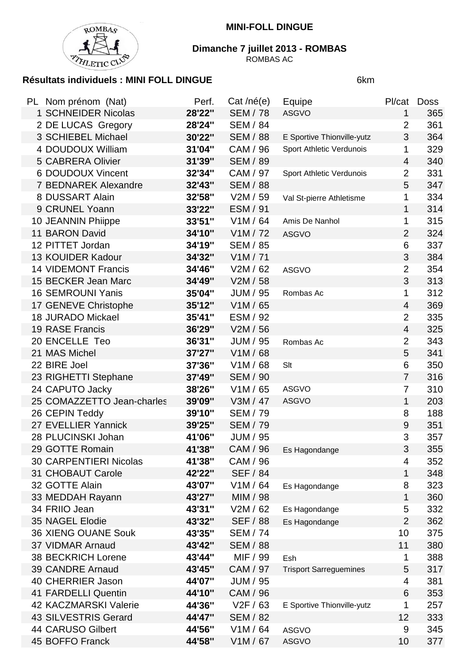## **MINI-FOLL DINGUE**



ROMBAS AC

## **Résultats individuels : MINI FOLL DINGUE** 6km

| PL Nom prénom (Nat)           | Perf.  | Cat/né(e)       | Equipe                        | Pl/cat         | <b>Doss</b> |
|-------------------------------|--------|-----------------|-------------------------------|----------------|-------------|
| 1 SCHNEIDER Nicolas           | 28'22" | <b>SEM / 78</b> | <b>ASGVO</b>                  | 1              | 365         |
| 2 DE LUCAS Gregory            | 28'24" | <b>SEM / 84</b> |                               | $\overline{2}$ | 361         |
| 3 SCHIEBEL Michael            | 30'22" | <b>SEM / 88</b> | E Sportive Thionville-yutz    | 3              | 364         |
| 4 DOUDOUX William             | 31'04" | CAM / 96        | Sport Athletic Verdunois      | 1              | 329         |
| 5 CABRERA Olivier             | 31'39" | <b>SEM / 89</b> |                               | 4              | 340         |
| 6 DOUDOUX Vincent             | 32'34" | CAM / 97        | Sport Athletic Verdunois      | $\overline{2}$ | 331         |
| <b>7 BEDNAREK Alexandre</b>   | 32'43" | <b>SEM / 88</b> |                               | 5              | 347         |
| 8 DUSSART Alain               | 32'58" | V2M / 59        | Val St-pierre Athletisme      | 1              | 334         |
| 9 CRUNEL Yoann                | 33'22" | <b>ESM/91</b>   |                               | 1              | 314         |
| 10 JEANNIN Phiippe            | 33'51" | V1M/64          | Amis De Nanhol                | 1              | 315         |
| 11 BARON David                | 34'10" | V1M / 72        | <b>ASGVO</b>                  | $\overline{2}$ | 324         |
| 12 PITTET Jordan              | 34'19" | <b>SEM / 85</b> |                               | 6              | 337         |
| 13 KOUIDER Kadour             | 34'32" | V1M / 71        |                               | 3              | 384         |
| <b>14 VIDEMONT Francis</b>    | 34'46" | V2M / 62        | <b>ASGVO</b>                  | $\overline{2}$ | 354         |
| 15 BECKER Jean Marc           | 34'49" | V2M / 58        |                               | 3              | 313         |
| <b>16 SEMROUNI Yanis</b>      | 35'04" | <b>JUM / 95</b> | Rombas Ac                     | 1              | 312         |
| 17 GENEVE Christophe          | 35'12" | V1M / 65        |                               | $\overline{4}$ | 369         |
| <b>18 JURADO Mickael</b>      | 35'41" | ESM / 92        |                               | $\overline{2}$ | 335         |
| 19 RASE Francis               | 36'29" | V2M / 56        |                               | 4              | 325         |
| 20 ENCELLE Teo                | 36'31" | <b>JUM / 95</b> | Rombas Ac                     | $\overline{2}$ | 343         |
| 21 MAS Michel                 | 37'27" | V1M / 68        |                               | 5              | 341         |
| 22 BIRE Joel                  | 37'36" | V1M/68          | Slt                           | 6              | 350         |
| 23 RIGHETTI Stephane          | 37'49" | <b>SEM / 90</b> |                               | $\overline{7}$ | 316         |
| 24 CAPUTO Jacky               | 38'26" | V1M / 65        | <b>ASGVO</b>                  | 7              | 310         |
| 25 COMAZZETTO Jean-charles    | 39'09" | V3M / 47        | <b>ASGVO</b>                  | 1              | 203         |
| 26 CEPIN Teddy                | 39'10" | <b>SEM / 79</b> |                               | 8              | 188         |
| 27 EVELLIER Yannick           | 39'25" | <b>SEM / 79</b> |                               | 9              | 351         |
| 28 PLUCINSKI Johan            | 41'06" | <b>JUM / 95</b> |                               | 3              | 357         |
| 29 GOTTE Romain               | 41'38" | CAM / 96        | Es Hagondange                 | 3              | 355         |
| <b>30 CARPENTIERI Nicolas</b> | 41'38" | CAM / 96        |                               | 4              | 352         |
| 31 CHOBAUT Carole             | 42'22" | <b>SEF / 84</b> |                               | 1              | 348         |
| 32 GOTTE Alain                | 43'07" | V1M/64          | Es Hagondange                 | 8              | 323         |
| 33 MEDDAH Rayann              | 43'27" | MIM / 98        |                               | 1              | 360         |
| 34 FRIIO Jean                 | 43'31" | V2M/62          | Es Hagondange                 | 5              | 332         |
| 35 NAGEL Elodie               | 43'32" | <b>SEF / 88</b> | Es Hagondange                 | $\overline{2}$ | 362         |
| <b>36 XIENG OUANE Souk</b>    | 43'35" | <b>SEM / 74</b> |                               | 10             | 375         |
| 37 VIDMAR Arnaud              | 43'42" | <b>SEM / 88</b> |                               | 11             | 380         |
| <b>38 BECKRICH Lorene</b>     | 43'44" | MIF / 99        | Esh                           | 1              | 388         |
| <b>39 CANDRE Arnaud</b>       | 43'45" | <b>CAM / 97</b> | <b>Trisport Sarreguemines</b> | 5              | 317         |
| 40 CHERRIER Jason             | 44'07" | <b>JUM / 95</b> |                               | 4              | 381         |
| 41 FARDELLI Quentin           | 44'10" | <b>CAM / 96</b> |                               | 6              | 353         |
| <b>42 KACZMARSKI Valerie</b>  | 44'36" | V2F / 63        | E Sportive Thionville-yutz    | 1              | 257         |
| <b>43 SILVESTRIS Gerard</b>   | 44'47" | <b>SEM / 82</b> |                               | 12             | 333         |
| 44 CARUSO Gilbert             | 44'56" | V1M/64          | <b>ASGVO</b>                  | 9              | 345         |
| 45 BOFFO Franck               | 44'58" | V1M/67          | <b>ASGVO</b>                  | 10             | 377         |
|                               |        |                 |                               |                |             |